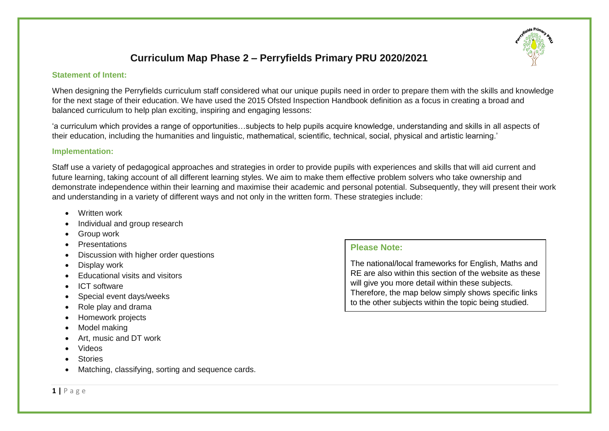## **Curriculum Map Phase 2 – Perryfields Primary PRU 2020/2021**

#### **Statement of Intent:**

When designing the Perryfields curriculum staff considered what our unique pupils need in order to prepare them with the skills and knowledge for the next stage of their education. We have used the 2015 Ofsted Inspection Handbook definition as a focus in creating a broad and balanced curriculum to help plan exciting, inspiring and engaging lessons:

'a curriculum which provides a range of opportunities…subjects to help pupils acquire knowledge, understanding and skills in all aspects of their education, including the humanities and linguistic, mathematical, scientific, technical, social, physical and artistic learning.'

#### **Implementation:**

Staff use a variety of pedagogical approaches and strategies in order to provide pupils with experiences and skills that will aid current and future learning, taking account of all different learning styles. We aim to make them effective problem solvers who take ownership and demonstrate independence within their learning and maximise their academic and personal potential. Subsequently, they will present their work and understanding in a variety of different ways and not only in the written form. These strategies include:

- Written work
- Individual and group research
- Group work
- **Presentations**
- Discussion with higher order questions
- Display work
- Fducational visits and visitors
- ICT software
- Special event days/weeks
- Role play and drama
- Homework projects
- Model making
- Art, music and DT work
- Videos
- **Stories**
- Matching, classifying, sorting and sequence cards.

## **Please Note:**

The national/local frameworks for English, Maths and RE are also within this section of the website as these will give you more detail within these subjects. Therefore, the map below simply shows specific links to the other subjects within the topic being studied.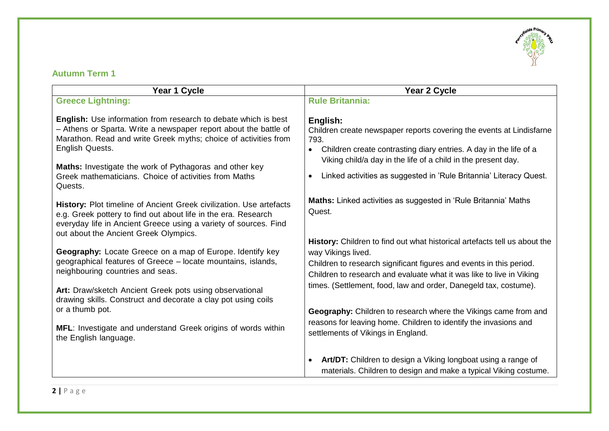

## **Autumn Term 1**

| Year 1 Cycle                                                                                                                                                                                                                                                                                                                                                                                                                                                                                                                                    | Year 2 Cycle                                                                                                                                                                                                                                                                                                                                                                                    |
|-------------------------------------------------------------------------------------------------------------------------------------------------------------------------------------------------------------------------------------------------------------------------------------------------------------------------------------------------------------------------------------------------------------------------------------------------------------------------------------------------------------------------------------------------|-------------------------------------------------------------------------------------------------------------------------------------------------------------------------------------------------------------------------------------------------------------------------------------------------------------------------------------------------------------------------------------------------|
| <b>Greece Lightning:</b>                                                                                                                                                                                                                                                                                                                                                                                                                                                                                                                        | <b>Rule Britannia:</b>                                                                                                                                                                                                                                                                                                                                                                          |
| <b>English:</b> Use information from research to debate which is best<br>- Athens or Sparta. Write a newspaper report about the battle of<br>Marathon. Read and write Greek myths; choice of activities from<br>English Quests.<br>Maths: Investigate the work of Pythagoras and other key<br>Greek mathematicians. Choice of activities from Maths<br>Quests.                                                                                                                                                                                  | English:<br>Children create newspaper reports covering the events at Lindisfarne<br>793.<br>Children create contrasting diary entries. A day in the life of a<br>Viking child/a day in the life of a child in the present day.<br>Linked activities as suggested in 'Rule Britannia' Literacy Quest.                                                                                            |
| History: Plot timeline of Ancient Greek civilization. Use artefacts<br>e.g. Greek pottery to find out about life in the era. Research<br>everyday life in Ancient Greece using a variety of sources. Find<br>out about the Ancient Greek Olympics.<br>Geography: Locate Greece on a map of Europe. Identify key<br>geographical features of Greece - locate mountains, islands,<br>neighbouring countries and seas.<br>Art: Draw/sketch Ancient Greek pots using observational<br>drawing skills. Construct and decorate a clay pot using coils | Maths: Linked activities as suggested in 'Rule Britannia' Maths<br>Quest.<br>History: Children to find out what historical artefacts tell us about the<br>way Vikings lived.<br>Children to research significant figures and events in this period.<br>Children to research and evaluate what it was like to live in Viking<br>times. (Settlement, food, law and order, Danegeld tax, costume). |
| or a thumb pot.<br>MFL: Investigate and understand Greek origins of words within<br>the English language.                                                                                                                                                                                                                                                                                                                                                                                                                                       | Geography: Children to research where the Vikings came from and<br>reasons for leaving home. Children to identify the invasions and<br>settlements of Vikings in England.                                                                                                                                                                                                                       |
|                                                                                                                                                                                                                                                                                                                                                                                                                                                                                                                                                 | Art/DT: Children to design a Viking longboat using a range of<br>materials. Children to design and make a typical Viking costume.                                                                                                                                                                                                                                                               |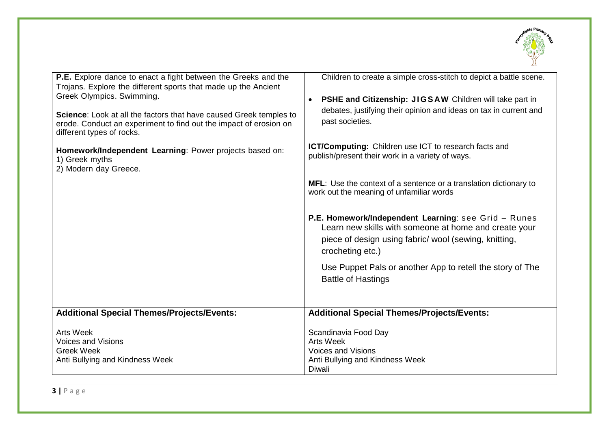

| <b>P.E.</b> Explore dance to enact a fight between the Greeks and the<br>Trojans. Explore the different sports that made up the Ancient<br>Greek Olympics. Swimming.<br>Science: Look at all the factors that have caused Greek temples to<br>erode. Conduct an experiment to find out the impact of erosion on<br>different types of rocks.<br>Homework/Independent Learning: Power projects based on:<br>1) Greek myths<br>2) Modern day Greece. | Children to create a simple cross-stitch to depict a battle scene.<br>PSHE and Citizenship: JIGSAW Children will take part in<br>$\bullet$<br>debates, justifying their opinion and ideas on tax in current and<br>past societies.<br><b>ICT/Computing:</b> Children use ICT to research facts and<br>publish/present their work in a variety of ways.<br>MFL: Use the context of a sentence or a translation dictionary to<br>work out the meaning of unfamiliar words<br>P.E. Homework/Independent Learning: see Grid - Runes<br>Learn new skills with someone at home and create your<br>piece of design using fabric/ wool (sewing, knitting,<br>crocheting etc.)<br>Use Puppet Pals or another App to retell the story of The<br><b>Battle of Hastings</b> |
|----------------------------------------------------------------------------------------------------------------------------------------------------------------------------------------------------------------------------------------------------------------------------------------------------------------------------------------------------------------------------------------------------------------------------------------------------|-----------------------------------------------------------------------------------------------------------------------------------------------------------------------------------------------------------------------------------------------------------------------------------------------------------------------------------------------------------------------------------------------------------------------------------------------------------------------------------------------------------------------------------------------------------------------------------------------------------------------------------------------------------------------------------------------------------------------------------------------------------------|
| <b>Additional Special Themes/Projects/Events:</b>                                                                                                                                                                                                                                                                                                                                                                                                  | <b>Additional Special Themes/Projects/Events:</b>                                                                                                                                                                                                                                                                                                                                                                                                                                                                                                                                                                                                                                                                                                               |
| <b>Arts Week</b><br><b>Voices and Visions</b><br><b>Greek Week</b><br>Anti Bullying and Kindness Week                                                                                                                                                                                                                                                                                                                                              | Scandinavia Food Day<br><b>Arts Week</b><br><b>Voices and Visions</b><br>Anti Bullying and Kindness Week<br>Diwali                                                                                                                                                                                                                                                                                                                                                                                                                                                                                                                                                                                                                                              |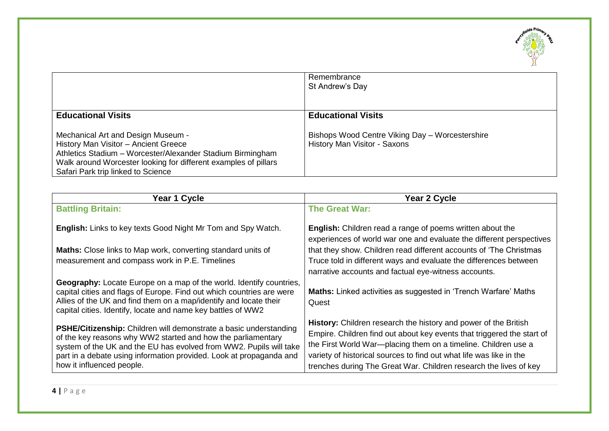

|                                                                                                                                                                                                                                                                                | Remembrance<br>St Andrew's Day                                                                               |
|--------------------------------------------------------------------------------------------------------------------------------------------------------------------------------------------------------------------------------------------------------------------------------|--------------------------------------------------------------------------------------------------------------|
| <b>Educational Visits</b><br>Mechanical Art and Design Museum -<br>History Man Visitor - Ancient Greece<br>Athletics Stadium - Worcester/Alexander Stadium Birmingham<br>Walk around Worcester looking for different examples of pillars<br>Safari Park trip linked to Science | <b>Educational Visits</b><br>Bishops Wood Centre Viking Day - Worcestershire<br>History Man Visitor - Saxons |

| Year 1 Cycle                                                                                                                                                                                                                                                                                                       | Year 2 Cycle                                                                                                                                                                                                                                                                                                                                            |
|--------------------------------------------------------------------------------------------------------------------------------------------------------------------------------------------------------------------------------------------------------------------------------------------------------------------|---------------------------------------------------------------------------------------------------------------------------------------------------------------------------------------------------------------------------------------------------------------------------------------------------------------------------------------------------------|
| <b>Battling Britain:</b>                                                                                                                                                                                                                                                                                           | <b>The Great War:</b>                                                                                                                                                                                                                                                                                                                                   |
| <b>English:</b> Links to key texts Good Night Mr Tom and Spy Watch.                                                                                                                                                                                                                                                | English: Children read a range of poems written about the<br>experiences of world war one and evaluate the different perspectives                                                                                                                                                                                                                       |
| Maths: Close links to Map work, converting standard units of                                                                                                                                                                                                                                                       | that they show. Children read different accounts of 'The Christmas'                                                                                                                                                                                                                                                                                     |
| measurement and compass work in P.E. Timelines                                                                                                                                                                                                                                                                     | Truce told in different ways and evaluate the differences between<br>narrative accounts and factual eye-witness accounts.                                                                                                                                                                                                                               |
| <b>Geography:</b> Locate Europe on a map of the world. Identify countries,<br>capital cities and flags of Europe. Find out which countries are were<br>Allies of the UK and find them on a map/identify and locate their<br>capital cities. Identify, locate and name key battles of WW2                           | <b>Maths:</b> Linked activities as suggested in 'Trench Warfare' Maths<br>Quest                                                                                                                                                                                                                                                                         |
| <b>PSHE/Citizenship:</b> Children will demonstrate a basic understanding<br>of the key reasons why WW2 started and how the parliamentary<br>system of the UK and the EU has evolved from WW2. Pupils will take<br>part in a debate using information provided. Look at propaganda and<br>how it influenced people. | History: Children research the history and power of the British<br>Empire. Children find out about key events that triggered the start of<br>the First World War-placing them on a timeline. Children use a<br>variety of historical sources to find out what life was like in the<br>trenches during The Great War. Children research the lives of key |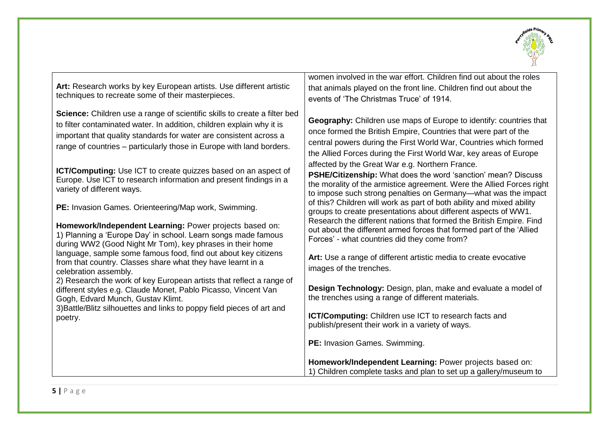

**Art:** Research works by key European artists. Use different artistic techniques to recreate some of their masterpieces.

**Science:** Children use a range of scientific skills to create a filter bed to filter contaminated water. In addition, children explain why it is important that quality standards for water are consistent across a range of countries – particularly those in Europe with land borders.

**ICT/Computing:** Use ICT to create quizzes based on an aspect of Europe. Use ICT to research information and present findings in a variety of different ways.

**PE:** Invasion Games. Orienteering/Map work, Swimming.

**Homework/Independent Learning:** Power projects based on: 1) Planning a 'Europe Day' in school. Learn songs made famous during WW2 (Good Night Mr Tom), key phrases in their home language, sample some famous food, find out about key citizens from that country. Classes share what they have learnt in a celebration assembly.

2) Research the work of key European artists that reflect a range of different styles e.g. Claude Monet, Pablo Picasso, Vincent Van Gogh, Edvard Munch, Gustav Klimt.

3)Battle/Blitz silhouettes and links to poppy field pieces of art and poetry.

women involved in the war effort. Children find out about the roles that animals played on the front line. Children find out about the events of 'The Christmas Truce' of 1914.

**Geography:** Children use maps of Europe to identify: countries that once formed the British Empire, Countries that were part of the central powers during the First World War, Countries which formed the Allied Forces during the First World War, key areas of Europe affected by the Great War e.g. Northern France. **PSHE/Citizenship:** What does the word 'sanction' mean? Discuss

the morality of the armistice agreement. Were the Allied Forces right to impose such strong penalties on Germany—what was the impact of this? Children will work as part of both ability and mixed ability groups to create presentations about different aspects of WW1. Research the different nations that formed the British Empire. Find out about the different armed forces that formed part of the 'Allied Forces' - what countries did they come from?

**Art:** Use a range of different artistic media to create evocative images of the trenches.

**Design Technology:** Design, plan, make and evaluate a model of the trenches using a range of different materials.

**ICT/Computing:** Children use ICT to research facts and publish/present their work in a variety of ways.

**PE:** Invasion Games. Swimming.

**Homework/Independent Learning:** Power projects based on: 1) Children complete tasks and plan to set up a gallery/museum to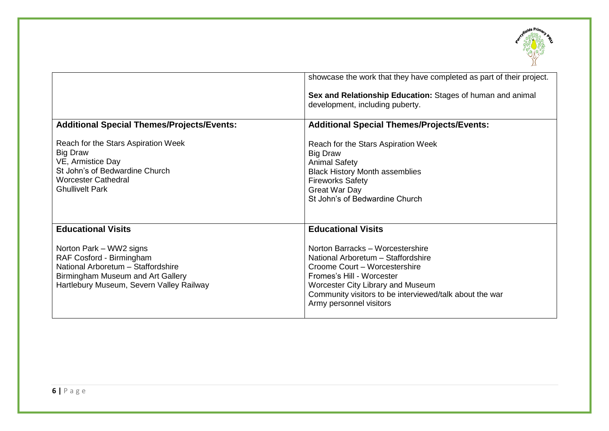

|                                                                                                                                                                            | showcase the work that they have completed as part of their project.                                                                                                                                                                                            |
|----------------------------------------------------------------------------------------------------------------------------------------------------------------------------|-----------------------------------------------------------------------------------------------------------------------------------------------------------------------------------------------------------------------------------------------------------------|
|                                                                                                                                                                            | Sex and Relationship Education: Stages of human and animal<br>development, including puberty.                                                                                                                                                                   |
| <b>Additional Special Themes/Projects/Events:</b>                                                                                                                          | <b>Additional Special Themes/Projects/Events:</b>                                                                                                                                                                                                               |
| Reach for the Stars Aspiration Week<br><b>Big Draw</b><br>VE, Armistice Day<br>St John's of Bedwardine Church<br><b>Worcester Cathedral</b><br><b>Ghullivelt Park</b>      | Reach for the Stars Aspiration Week<br>Big Draw<br><b>Animal Safety</b><br><b>Black History Month assemblies</b><br><b>Fireworks Safety</b><br>Great War Day<br>St John's of Bedwardine Church                                                                  |
| <b>Educational Visits</b>                                                                                                                                                  | <b>Educational Visits</b>                                                                                                                                                                                                                                       |
| Norton Park – WW2 signs<br>RAF Cosford - Birmingham<br>National Arboretum - Staffordshire<br>Birmingham Museum and Art Gallery<br>Hartlebury Museum, Severn Valley Railway | Norton Barracks - Worcestershire<br>National Arboretum - Staffordshire<br>Croome Court - Worcestershire<br>Fromes's Hill - Worcester<br>Worcester City Library and Museum<br>Community visitors to be interviewed/talk about the war<br>Army personnel visitors |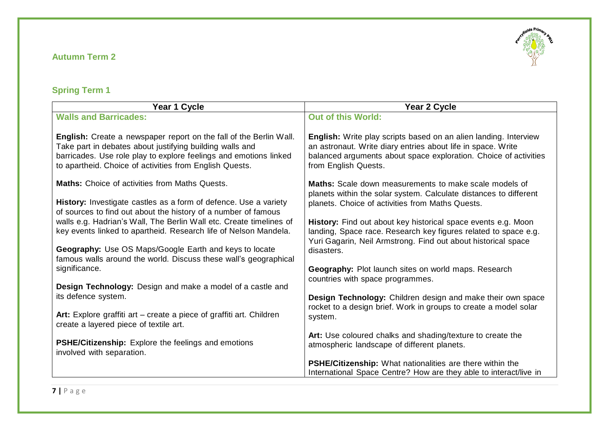## **Autumn Term 2**



# **Spring Term 1**

| Year 1 Cycle                                                                                                                                                                                                                                                   | Year 2 Cycle                                                                                                                                                                                                                 |
|----------------------------------------------------------------------------------------------------------------------------------------------------------------------------------------------------------------------------------------------------------------|------------------------------------------------------------------------------------------------------------------------------------------------------------------------------------------------------------------------------|
| <b>Walls and Barricades:</b>                                                                                                                                                                                                                                   | <b>Out of this World:</b>                                                                                                                                                                                                    |
| English: Create a newspaper report on the fall of the Berlin Wall.<br>Take part in debates about justifying building walls and<br>barricades. Use role play to explore feelings and emotions linked<br>to apartheid. Choice of activities from English Quests. | English: Write play scripts based on an alien landing. Interview<br>an astronaut. Write diary entries about life in space. Write<br>balanced arguments about space exploration. Choice of activities<br>from English Quests. |
| <b>Maths:</b> Choice of activities from Maths Quests.<br>History: Investigate castles as a form of defence. Use a variety                                                                                                                                      | <b>Maths:</b> Scale down measurements to make scale models of<br>planets within the solar system. Calculate distances to different<br>planets. Choice of activities from Maths Quests.                                       |
| of sources to find out about the history of a number of famous<br>walls e.g. Hadrian's Wall, The Berlin Wall etc. Create timelines of<br>key events linked to apartheid. Research life of Nelson Mandela.                                                      | History: Find out about key historical space events e.g. Moon<br>landing, Space race. Research key figures related to space e.g.<br>Yuri Gagarin, Neil Armstrong. Find out about historical space                            |
| Geography: Use OS Maps/Google Earth and keys to locate<br>famous walls around the world. Discuss these wall's geographical                                                                                                                                     | disasters.                                                                                                                                                                                                                   |
| significance.                                                                                                                                                                                                                                                  | Geography: Plot launch sites on world maps. Research<br>countries with space programmes.                                                                                                                                     |
| Design Technology: Design and make a model of a castle and<br>its defence system.                                                                                                                                                                              | Design Technology: Children design and make their own space<br>rocket to a design brief. Work in groups to create a model solar                                                                                              |
| Art: Explore graffiti art – create a piece of graffiti art. Children<br>create a layered piece of textile art.                                                                                                                                                 | system.                                                                                                                                                                                                                      |
| PSHE/Citizenship: Explore the feelings and emotions<br>involved with separation.                                                                                                                                                                               | Art: Use coloured chalks and shading/texture to create the<br>atmospheric landscape of different planets.                                                                                                                    |
|                                                                                                                                                                                                                                                                | PSHE/Citizenship: What nationalities are there within the<br>International Space Centre? How are they able to interact/live in                                                                                               |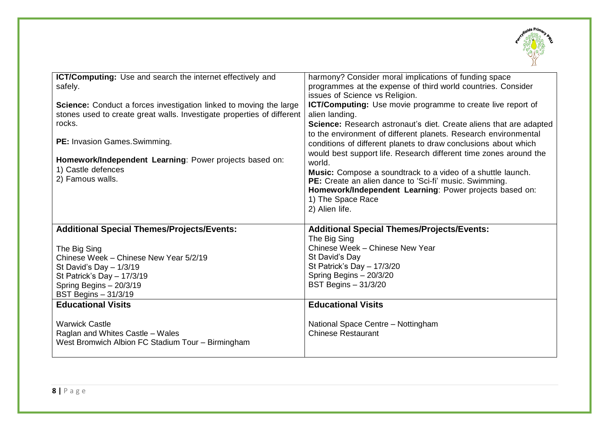

| ICT/Computing: Use and search the internet effectively and<br>safely.     | harmony? Consider moral implications of funding space<br>programmes at the expense of third world countries. Consider |
|---------------------------------------------------------------------------|-----------------------------------------------------------------------------------------------------------------------|
|                                                                           | issues of Science vs Religion.                                                                                        |
| <b>Science:</b> Conduct a forces investigation linked to moving the large | ICT/Computing: Use movie programme to create live report of                                                           |
| stones used to create great walls. Investigate properties of different    | alien landing.                                                                                                        |
| rocks.                                                                    | Science: Research astronaut's diet. Create aliens that are adapted                                                    |
|                                                                           | to the environment of different planets. Research environmental                                                       |
| PE: Invasion Games. Swimming.                                             | conditions of different planets to draw conclusions about which                                                       |
|                                                                           | would best support life. Research different time zones around the                                                     |
| Homework/Independent Learning: Power projects based on:                   | world.                                                                                                                |
| 1) Castle defences                                                        | Music: Compose a soundtrack to a video of a shuttle launch.                                                           |
| 2) Famous walls.                                                          | PE: Create an alien dance to 'Sci-fi' music. Swimming.                                                                |
|                                                                           | Homework/Independent Learning: Power projects based on:                                                               |
|                                                                           | 1) The Space Race                                                                                                     |
|                                                                           | 2) Alien life.                                                                                                        |
| <b>Additional Special Themes/Projects/Events:</b>                         | <b>Additional Special Themes/Projects/Events:</b>                                                                     |
|                                                                           | The Big Sing                                                                                                          |
| The Big Sing                                                              | Chinese Week - Chinese New Year                                                                                       |
| Chinese Week - Chinese New Year 5/2/19                                    | St David's Day                                                                                                        |
| St David's Day $-1/3/19$                                                  | St Patrick's Day - 17/3/20                                                                                            |
| St Patrick's Day $- 17/3/19$                                              | Spring Begins - 20/3/20                                                                                               |
| Spring Begins - 20/3/19                                                   | <b>BST Begins - 31/3/20</b>                                                                                           |
| <b>BST Begins - 31/3/19</b>                                               |                                                                                                                       |
| <b>Educational Visits</b>                                                 | <b>Educational Visits</b>                                                                                             |
|                                                                           |                                                                                                                       |
| <b>Warwick Castle</b>                                                     | National Space Centre - Nottingham                                                                                    |
| Raglan and Whites Castle - Wales                                          | <b>Chinese Restaurant</b>                                                                                             |
| West Bromwich Albion FC Stadium Tour - Birmingham                         |                                                                                                                       |
|                                                                           |                                                                                                                       |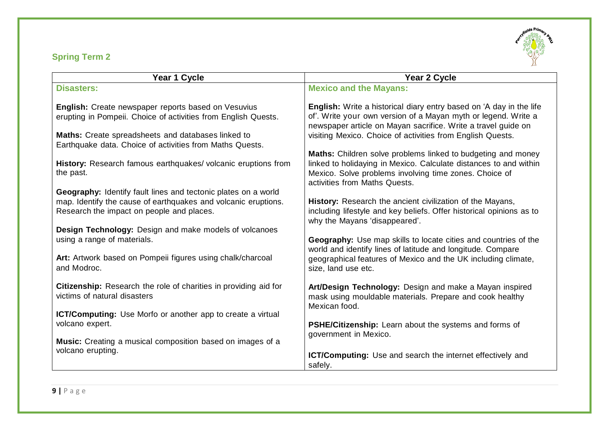## **Spring Term 2**



| Year 1 Cycle                                                                                                                                                                                                                                                                       | Year 2 Cycle                                                                                                                                                                                                                                                                                                                                                                             |
|------------------------------------------------------------------------------------------------------------------------------------------------------------------------------------------------------------------------------------------------------------------------------------|------------------------------------------------------------------------------------------------------------------------------------------------------------------------------------------------------------------------------------------------------------------------------------------------------------------------------------------------------------------------------------------|
| <b>Disasters:</b>                                                                                                                                                                                                                                                                  | <b>Mexico and the Mayans:</b>                                                                                                                                                                                                                                                                                                                                                            |
| English: Create newspaper reports based on Vesuvius                                                                                                                                                                                                                                | <b>English:</b> Write a historical diary entry based on 'A day in the life                                                                                                                                                                                                                                                                                                               |
| erupting in Pompeii. Choice of activities from English Quests.                                                                                                                                                                                                                     | of'. Write your own version of a Mayan myth or legend. Write a<br>newspaper article on Mayan sacrifice. Write a travel guide on                                                                                                                                                                                                                                                          |
| Maths: Create spreadsheets and databases linked to<br>Earthquake data. Choice of activities from Maths Quests.                                                                                                                                                                     | visiting Mexico. Choice of activities from English Quests.                                                                                                                                                                                                                                                                                                                               |
|                                                                                                                                                                                                                                                                                    | Maths: Children solve problems linked to budgeting and money                                                                                                                                                                                                                                                                                                                             |
| History: Research famous earthquakes/volcanic eruptions from                                                                                                                                                                                                                       | linked to holidaying in Mexico. Calculate distances to and within                                                                                                                                                                                                                                                                                                                        |
|                                                                                                                                                                                                                                                                                    | activities from Maths Quests.                                                                                                                                                                                                                                                                                                                                                            |
| Geography: Identify fault lines and tectonic plates on a world                                                                                                                                                                                                                     |                                                                                                                                                                                                                                                                                                                                                                                          |
| Research the impact on people and places.                                                                                                                                                                                                                                          | including lifestyle and key beliefs. Offer historical opinions as to                                                                                                                                                                                                                                                                                                                     |
|                                                                                                                                                                                                                                                                                    |                                                                                                                                                                                                                                                                                                                                                                                          |
| using a range of materials.                                                                                                                                                                                                                                                        | Geography: Use map skills to locate cities and countries of the                                                                                                                                                                                                                                                                                                                          |
| Art: Artwork based on Pompeii figures using chalk/charcoal<br>and Modroc.                                                                                                                                                                                                          | geographical features of Mexico and the UK including climate,<br>size, land use etc.                                                                                                                                                                                                                                                                                                     |
| <b>Citizenship:</b> Research the role of charities in providing aid for                                                                                                                                                                                                            | Art/Design Technology: Design and make a Mayan inspired                                                                                                                                                                                                                                                                                                                                  |
|                                                                                                                                                                                                                                                                                    | Mexican food.                                                                                                                                                                                                                                                                                                                                                                            |
| <b>ICT/Computing:</b> Use Morfo or another app to create a virtual                                                                                                                                                                                                                 |                                                                                                                                                                                                                                                                                                                                                                                          |
|                                                                                                                                                                                                                                                                                    | PSHE/Citizenship: Learn about the systems and forms of                                                                                                                                                                                                                                                                                                                                   |
|                                                                                                                                                                                                                                                                                    |                                                                                                                                                                                                                                                                                                                                                                                          |
|                                                                                                                                                                                                                                                                                    |                                                                                                                                                                                                                                                                                                                                                                                          |
|                                                                                                                                                                                                                                                                                    |                                                                                                                                                                                                                                                                                                                                                                                          |
| the past.<br>map. Identify the cause of earthquakes and volcanic eruptions.<br>Design Technology: Design and make models of volcanoes<br>victims of natural disasters<br>volcano expert.<br><b>Music:</b> Creating a musical composition based on images of a<br>volcano erupting. | Mexico. Solve problems involving time zones. Choice of<br>History: Research the ancient civilization of the Mayans,<br>why the Mayans 'disappeared'.<br>world and identify lines of latitude and longitude. Compare<br>mask using mouldable materials. Prepare and cook healthy<br>government in Mexico.<br><b>ICT/Computing:</b> Use and search the internet effectively and<br>safely. |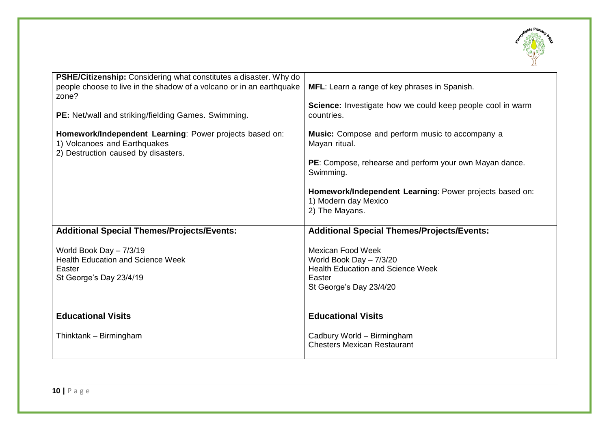

| <b>PSHE/Citizenship:</b> Considering what constitutes a disaster. Why do<br>people choose to live in the shadow of a volcano or in an earthquake<br>zone?<br>PE: Net/wall and striking/fielding Games. Swimming. | MFL: Learn a range of key phrases in Spanish.<br>Science: Investigate how we could keep people cool in warm<br>countries.                |
|------------------------------------------------------------------------------------------------------------------------------------------------------------------------------------------------------------------|------------------------------------------------------------------------------------------------------------------------------------------|
| Homework/Independent Learning: Power projects based on:<br>1) Volcanoes and Earthquakes<br>2) Destruction caused by disasters.                                                                                   | Music: Compose and perform music to accompany a<br>Mayan ritual.<br>PE: Compose, rehearse and perform your own Mayan dance.<br>Swimming. |
|                                                                                                                                                                                                                  | Homework/Independent Learning: Power projects based on:<br>1) Modern day Mexico<br>2) The Mayans.                                        |
| <b>Additional Special Themes/Projects/Events:</b>                                                                                                                                                                | <b>Additional Special Themes/Projects/Events:</b>                                                                                        |
| World Book Day - 7/3/19<br><b>Health Education and Science Week</b><br>Easter<br>St George's Day 23/4/19                                                                                                         | <b>Mexican Food Week</b><br>World Book Day - 7/3/20<br><b>Health Education and Science Week</b><br>Easter<br>St George's Day 23/4/20     |
| <b>Educational Visits</b>                                                                                                                                                                                        | <b>Educational Visits</b>                                                                                                                |
| Thinktank - Birmingham                                                                                                                                                                                           | Cadbury World - Birmingham<br><b>Chesters Mexican Restaurant</b>                                                                         |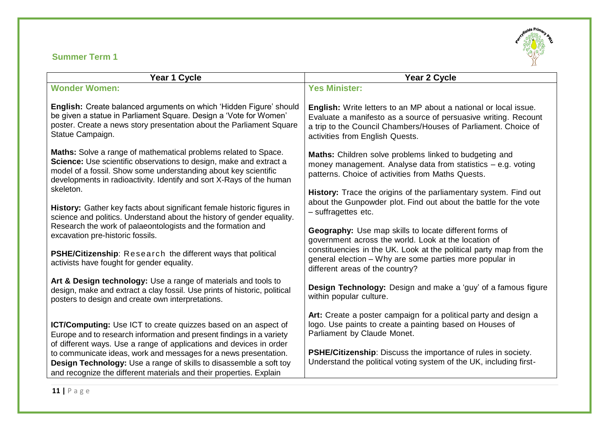## **Summer Term 1**



| Year 1 Cycle                                                                                                                                                                                                                                                                         | Year 2 Cycle                                                                                                                                                                                                                                    |
|--------------------------------------------------------------------------------------------------------------------------------------------------------------------------------------------------------------------------------------------------------------------------------------|-------------------------------------------------------------------------------------------------------------------------------------------------------------------------------------------------------------------------------------------------|
| <b>Wonder Women:</b>                                                                                                                                                                                                                                                                 | <b>Yes Minister:</b>                                                                                                                                                                                                                            |
| English: Create balanced arguments on which 'Hidden Figure' should<br>be given a statue in Parliament Square. Design a 'Vote for Women'<br>poster. Create a news story presentation about the Parliament Square<br>Statue Campaign.                                                  | <b>English:</b> Write letters to an MP about a national or local issue.<br>Evaluate a manifesto as a source of persuasive writing. Recount<br>a trip to the Council Chambers/Houses of Parliament. Choice of<br>activities from English Quests. |
| Maths: Solve a range of mathematical problems related to Space.<br>Science: Use scientific observations to design, make and extract a<br>model of a fossil. Show some understanding about key scientific<br>developments in radioactivity. Identify and sort X-Rays of the human     | Maths: Children solve problems linked to budgeting and<br>money management. Analyse data from statistics $-$ e.g. voting<br>patterns. Choice of activities from Maths Quests.                                                                   |
| skeleton.<br>History: Gather key facts about significant female historic figures in<br>science and politics. Understand about the history of gender equality.                                                                                                                        | <b>History:</b> Trace the origins of the parliamentary system. Find out<br>about the Gunpowder plot. Find out about the battle for the vote<br>- suffragettes etc.                                                                              |
| Research the work of palaeontologists and the formation and<br>excavation pre-historic fossils.                                                                                                                                                                                      | Geography: Use map skills to locate different forms of<br>government across the world. Look at the location of                                                                                                                                  |
| <b>PSHE/Citizenship:</b> Research the different ways that political<br>activists have fought for gender equality.                                                                                                                                                                    | constituencies in the UK. Look at the political party map from the<br>general election - Why are some parties more popular in<br>different areas of the country?                                                                                |
| Art & Design technology: Use a range of materials and tools to<br>design, make and extract a clay fossil. Use prints of historic, political<br>posters to design and create own interpretations.                                                                                     | Design Technology: Design and make a 'guy' of a famous figure<br>within popular culture.                                                                                                                                                        |
| <b>ICT/Computing:</b> Use ICT to create quizzes based on an aspect of<br>Europe and to research information and present findings in a variety                                                                                                                                        | Art: Create a poster campaign for a political party and design a<br>logo. Use paints to create a painting based on Houses of<br>Parliament by Claude Monet.                                                                                     |
| of different ways. Use a range of applications and devices in order<br>to communicate ideas, work and messages for a news presentation.<br>Design Technology: Use a range of skills to disassemble a soft toy<br>and recognize the different materials and their properties. Explain | <b>PSHE/Citizenship:</b> Discuss the importance of rules in society.<br>Understand the political voting system of the UK, including first-                                                                                                      |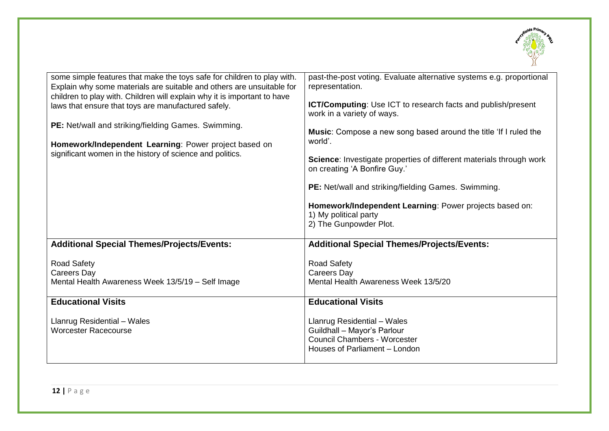

| some simple features that make the toys safe for children to play with.<br>Explain why some materials are suitable and others are unsuitable for<br>children to play with. Children will explain why it is important to have<br>laws that ensure that toys are manufactured safely.<br><b>PE:</b> Net/wall and striking/fielding Games. Swimming.<br>Homework/Independent Learning: Power project based on<br>significant women in the history of science and politics. | past-the-post voting. Evaluate alternative systems e.g. proportional<br>representation.<br><b>ICT/Computing:</b> Use ICT to research facts and publish/present<br>work in a variety of ways.<br><b>Music:</b> Compose a new song based around the title 'If I ruled the<br>world'.<br>Science: Investigate properties of different materials through work<br>on creating 'A Bonfire Guy.'<br><b>PE:</b> Net/wall and striking/fielding Games. Swimming.<br>Homework/Independent Learning: Power projects based on:<br>1) My political party<br>2) The Gunpowder Plot. |
|-------------------------------------------------------------------------------------------------------------------------------------------------------------------------------------------------------------------------------------------------------------------------------------------------------------------------------------------------------------------------------------------------------------------------------------------------------------------------|-----------------------------------------------------------------------------------------------------------------------------------------------------------------------------------------------------------------------------------------------------------------------------------------------------------------------------------------------------------------------------------------------------------------------------------------------------------------------------------------------------------------------------------------------------------------------|
| <b>Additional Special Themes/Projects/Events:</b>                                                                                                                                                                                                                                                                                                                                                                                                                       | <b>Additional Special Themes/Projects/Events:</b>                                                                                                                                                                                                                                                                                                                                                                                                                                                                                                                     |
| <b>Road Safety</b><br>Careers Day<br>Mental Health Awareness Week 13/5/19 - Self Image                                                                                                                                                                                                                                                                                                                                                                                  | <b>Road Safety</b><br><b>Careers Day</b><br>Mental Health Awareness Week 13/5/20                                                                                                                                                                                                                                                                                                                                                                                                                                                                                      |
| <b>Educational Visits</b>                                                                                                                                                                                                                                                                                                                                                                                                                                               | <b>Educational Visits</b>                                                                                                                                                                                                                                                                                                                                                                                                                                                                                                                                             |
| Llanrug Residential - Wales<br><b>Worcester Racecourse</b>                                                                                                                                                                                                                                                                                                                                                                                                              | Llanrug Residential - Wales<br>Guildhall - Mayor's Parlour<br><b>Council Chambers - Worcester</b><br>Houses of Parliament - London                                                                                                                                                                                                                                                                                                                                                                                                                                    |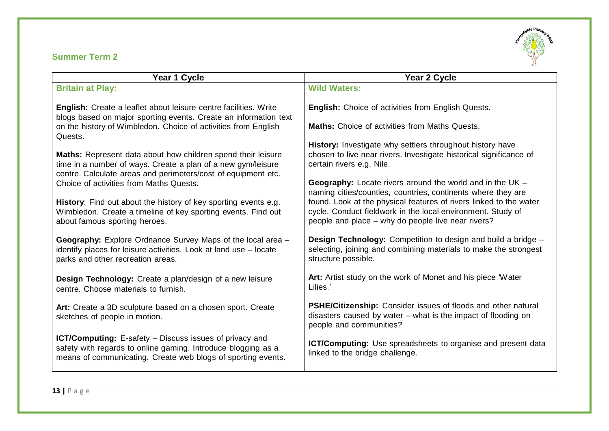## **Summer Term 2**



| Year 1 Cycle                                                                                                                                                                                    | Year 2 Cycle                                                                                                                                                       |
|-------------------------------------------------------------------------------------------------------------------------------------------------------------------------------------------------|--------------------------------------------------------------------------------------------------------------------------------------------------------------------|
| <b>Britain at Play:</b>                                                                                                                                                                         | <b>Wild Waters:</b>                                                                                                                                                |
| <b>English:</b> Create a leaflet about leisure centre facilities. Write<br>blogs based on major sporting events. Create an information text                                                     | <b>English:</b> Choice of activities from English Quests.                                                                                                          |
| on the history of Wimbledon. Choice of activities from English<br>Quests.                                                                                                                       | <b>Maths:</b> Choice of activities from Maths Quests.                                                                                                              |
|                                                                                                                                                                                                 | History: Investigate why settlers throughout history have                                                                                                          |
| Maths: Represent data about how children spend their leisure<br>time in a number of ways. Create a plan of a new gym/leisure<br>centre. Calculate areas and perimeters/cost of equipment etc.   | chosen to live near rivers. Investigate historical significance of<br>certain rivers e.g. Nile.                                                                    |
| Choice of activities from Maths Quests.                                                                                                                                                         | <b>Geography:</b> Locate rivers around the world and in the $UK -$                                                                                                 |
|                                                                                                                                                                                                 | naming cities/counties, countries, continents where they are                                                                                                       |
| History: Find out about the history of key sporting events e.g.                                                                                                                                 | found. Look at the physical features of rivers linked to the water                                                                                                 |
| Wimbledon. Create a timeline of key sporting events. Find out<br>about famous sporting heroes.                                                                                                  | cycle. Conduct fieldwork in the local environment. Study of<br>people and place – why do people live near rivers?                                                  |
| <b>Geography:</b> Explore Ordnance Survey Maps of the local area -<br>identify places for leisure activities. Look at land use - locate<br>parks and other recreation areas.                    | <b>Design Technology:</b> Competition to design and build a bridge -<br>selecting, joining and combining materials to make the strongest<br>structure possible.    |
| Design Technology: Create a plan/design of a new leisure<br>centre. Choose materials to furnish.                                                                                                | Art: Artist study on the work of Monet and his piece 'Water'<br>Lilies.'                                                                                           |
| Art: Create a 3D sculpture based on a chosen sport. Create<br>sketches of people in motion.                                                                                                     | <b>PSHE/Citizenship:</b> Consider issues of floods and other natural<br>disasters caused by water $-$ what is the impact of flooding on<br>people and communities? |
| <b>ICT/Computing:</b> E-safety – Discuss issues of privacy and<br>safety with regards to online gaming. Introduce blogging as a<br>means of communicating. Create web blogs of sporting events. | ICT/Computing: Use spreadsheets to organise and present data<br>linked to the bridge challenge.                                                                    |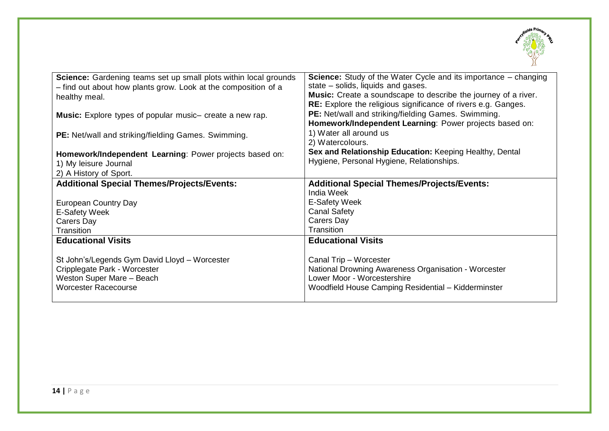

| Science: Gardening teams set up small plots within local grounds | <b>Science:</b> Study of the Water Cycle and its importance – changing |
|------------------------------------------------------------------|------------------------------------------------------------------------|
| - find out about how plants grow. Look at the composition of a   | state – solids, liquids and gases.                                     |
| healthy meal.                                                    | <b>Music:</b> Create a soundscape to describe the journey of a river.  |
|                                                                  | RE: Explore the religious significance of rivers e.g. Ganges.          |
| <b>Music:</b> Explore types of popular music- create a new rap.  | PE: Net/wall and striking/fielding Games. Swimming.                    |
|                                                                  | Homework/Independent Learning: Power projects based on:                |
| PE: Net/wall and striking/fielding Games. Swimming.              | 1) Water all around us                                                 |
|                                                                  | 2) Watercolours.                                                       |
| Homework/Independent Learning: Power projects based on:          | Sex and Relationship Education: Keeping Healthy, Dental                |
|                                                                  | Hygiene, Personal Hygiene, Relationships.                              |
| 1) My leisure Journal                                            |                                                                        |
| 2) A History of Sport.                                           |                                                                        |
| <b>Additional Special Themes/Projects/Events:</b>                | <b>Additional Special Themes/Projects/Events:</b>                      |
|                                                                  | <b>India Week</b>                                                      |
| <b>European Country Day</b>                                      | E-Safety Week                                                          |
| E-Safety Week                                                    | <b>Canal Safety</b>                                                    |
| Carers Day                                                       | Carers Day                                                             |
| Transition                                                       | Transition                                                             |
| <b>Educational Visits</b>                                        | <b>Educational Visits</b>                                              |
|                                                                  |                                                                        |
| St John's/Legends Gym David Lloyd - Worcester                    | Canal Trip - Worcester                                                 |
| Cripplegate Park - Worcester                                     | National Drowning Awareness Organisation - Worcester                   |
| Weston Super Mare - Beach                                        | Lower Moor - Worcestershire                                            |
| <b>Worcester Racecourse</b>                                      | Woodfield House Camping Residential - Kidderminster                    |
|                                                                  |                                                                        |
|                                                                  |                                                                        |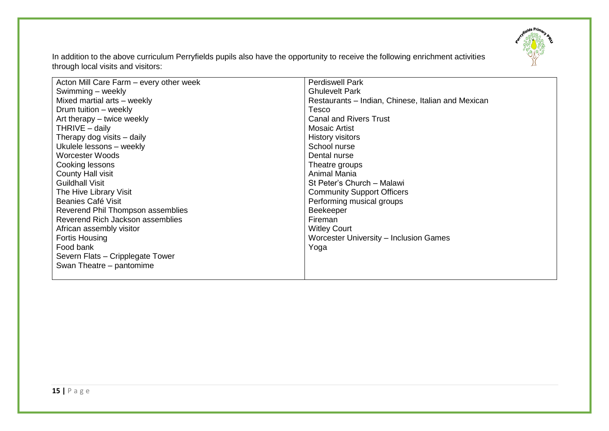

In addition to the above curriculum Perryfields pupils also have the opportunity to receive the following enrichment activities through local visits and visitors:

| Acton Mill Care Farm – every other week | <b>Perdiswell Park</b>                             |
|-----------------------------------------|----------------------------------------------------|
| Swimming - weekly                       | <b>Ghulevelt Park</b>                              |
| Mixed martial arts - weekly             | Restaurants – Indian, Chinese, Italian and Mexican |
| Drum tuition - weekly                   | Tesco                                              |
| Art therapy - twice weekly              | <b>Canal and Rivers Trust</b>                      |
| THRIVE $-$ daily                        | <b>Mosaic Artist</b>                               |
| Therapy dog visits - daily              | <b>History visitors</b>                            |
| Ukulele lessons - weekly                | School nurse                                       |
| Worcester Woods                         | Dental nurse                                       |
| Cooking lessons                         | Theatre groups                                     |
| <b>County Hall visit</b>                | Animal Mania                                       |
| <b>Guildhall Visit</b>                  | St Peter's Church - Malawi                         |
| The Hive Library Visit                  | <b>Community Support Officers</b>                  |
| Beanies Café Visit                      | Performing musical groups                          |
| Reverend Phil Thompson assemblies       | <b>Beekeeper</b>                                   |
| Reverend Rich Jackson assemblies        | Fireman                                            |
| African assembly visitor                | <b>Witley Court</b>                                |
| <b>Fortis Housing</b>                   | Worcester University - Inclusion Games             |
| Food bank                               | Yoga                                               |
| Severn Flats - Cripplegate Tower        |                                                    |
| Swan Theatre – pantomime                |                                                    |
|                                         |                                                    |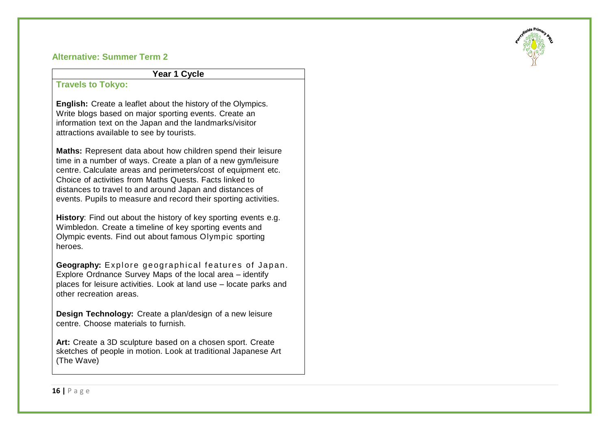#### **Alternative: Summer Term 2**

#### **Year 1 Cycle**

### **Travels to Tokyo:**

**English:** Create a leaflet about the history of the Olympics. Write blogs based on major sporting events. Create an information text on the Japan and the landmarks/visitor attractions available to see by tourists.

**Maths:** Represent data about how children spend their leisure time in a number of ways. Create a plan of a new gym/leisure centre. Calculate areas and perimeters/cost of equipment etc. Choice of activities from Maths Quests. Facts linked to distances to travel to and around Japan and distances of events. Pupils to measure and record their sporting activities.

**History**: Find out about the history of key sporting events e.g. Wimbledon. Create a timeline of key sporting events and Olympic events. Find out about famous Olympic sporting heroes.

**Geography:** Explore geographical features of Japan. Explore Ordnance Survey Maps of the local area – identify places for leisure activities. Look at land use – locate parks and other recreation areas.

**Design Technology:** Create a plan/design of a new leisure centre. Choose materials to furnish.

**Art:** Create a 3D sculpture based on a chosen sport. Create sketches of people in motion. Look at traditional Japanese Art (The Wave)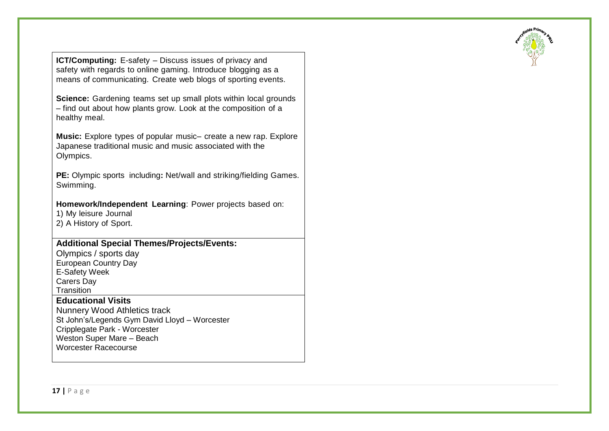**ICT/Computing:** E-safety – Discuss issues of privacy and safety with regards to online gaming. Introduce blogging as a means of communicating. Create web blogs of sporting events.

**Science:** Gardening teams set up small plots within local grounds – find out about how plants grow. Look at the composition of a healthy meal.

**Music:** Explore types of popular music– create a new rap. Explore Japanese traditional music and music associated with the Olympics.

**PE:** Olympic sports including**:** Net/wall and striking/fielding Games. Swimming.

**Homework/Independent Learning**: Power projects based on:

1) My leisure Journal

2) A History of Sport.

## **Additional Special Themes/Projects/Events:**

Olympics / sports day European Country Day E-Safety Week Carers Day **Transition** 

## **Educational Visits**

Nunnery Wood Athletics track St John's/Legends Gym David Lloyd – Worcester Cripplegate Park - Worcester Weston Super Mare – Beach Worcester Racecourse